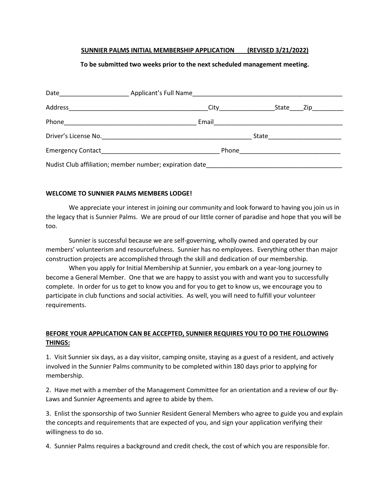### **SUNNIER PALMS INITIAL MEMBERSHIP APPLICATION (REVISED 3/21/2022)**

## **To be submitted two weeks prior to the next scheduled management meeting.**

| City <b>City City City</b>                              |  | State Zip |
|---------------------------------------------------------|--|-----------|
|                                                         |  |           |
|                                                         |  |           |
|                                                         |  |           |
| Nudist Club affiliation; member number; expiration date |  |           |

### **WELCOME TO SUNNIER PALMS MEMBERS LODGE!**

We appreciate your interest in joining our community and look forward to having you join us in the legacy that is Sunnier Palms. We are proud of our little corner of paradise and hope that you will be too.

Sunnier is successful because we are self-governing, wholly owned and operated by our members' volunteerism and resourcefulness. Sunnier has no employees. Everything other than major construction projects are accomplished through the skill and dedication of our membership.

When you apply for Initial Membership at Sunnier, you embark on a year-long journey to become a General Member. One that we are happy to assist you with and want you to successfully complete. In order for us to get to know you and for you to get to know us, we encourage you to participate in club functions and social activities. As well, you will need to fulfill your volunteer requirements.

# **BEFORE YOUR APPLICATION CAN BE ACCEPTED, SUNNIER REQUIRES YOU TO DO THE FOLLOWING THINGS:**

1. Visit Sunnier six days, as a day visitor, camping onsite, staying as a guest of a resident, and actively involved in the Sunnier Palms community to be completed within 180 days prior to applying for membership.

2. Have met with a member of the Management Committee for an orientation and a review of our By-Laws and Sunnier Agreements and agree to abide by them.

3. Enlist the sponsorship of two Sunnier Resident General Members who agree to guide you and explain the concepts and requirements that are expected of you, and sign your application verifying their willingness to do so.

4. Sunnier Palms requires a background and credit check, the cost of which you are responsible for.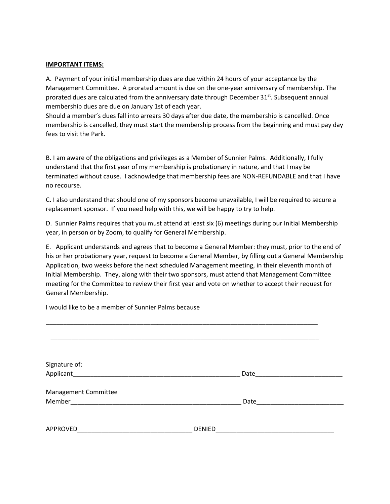### **IMPORTANT ITEMS:**

A. Payment of your initial membership dues are due within 24 hours of your acceptance by the Management Committee. A prorated amount is due on the one-year anniversary of membership. The prorated dues are calculated from the anniversary date through December 31<sup>st</sup>. Subsequent annual membership dues are due on January 1st of each year.

Should a member's dues fall into arrears 30 days after due date, the membership is cancelled. Once membership is cancelled, they must start the membership process from the beginning and must pay day fees to visit the Park.

B. I am aware of the obligations and privileges as a Member of Sunnier Palms. Additionally, I fully understand that the first year of my membership is probationary in nature, and that I may be terminated without cause. I acknowledge that membership fees are NON-REFUNDABLE and that I have no recourse.

C. I also understand that should one of my sponsors become unavailable, I will be required to secure a replacement sponsor. If you need help with this, we will be happy to try to help.

D. Sunnier Palms requires that you must attend at least six (6) meetings during our Initial Membership year, in person or by Zoom, to qualify for General Membership.

E. Applicant understands and agrees that to become a General Member: they must, prior to the end of his or her probationary year, request to become a General Member, by filling out a General Membership Application, two weeks before the next scheduled Management meeting, in their eleventh month of Initial Membership. They, along with their two sponsors, must attend that Management Committee meeting for the Committee to review their first year and vote on whether to accept their request for General Membership.

I would like to be a member of Sunnier Palms because

| Signature of:                                                                                                 |               |  |
|---------------------------------------------------------------------------------------------------------------|---------------|--|
| Applicant and the contract of the contract of the contract of the contract of the contract of the contract of | Date          |  |
| Management Committee                                                                                          |               |  |
|                                                                                                               | Date          |  |
|                                                                                                               |               |  |
| APPROVED                                                                                                      | <b>DENIED</b> |  |

\_\_\_\_\_\_\_\_\_\_\_\_\_\_\_\_\_\_\_\_\_\_\_\_\_\_\_\_\_\_\_\_\_\_\_\_\_\_\_\_\_\_\_\_\_\_\_\_\_\_\_\_\_\_\_\_\_\_\_\_\_\_\_\_\_\_\_\_\_\_\_\_\_\_\_\_\_\_